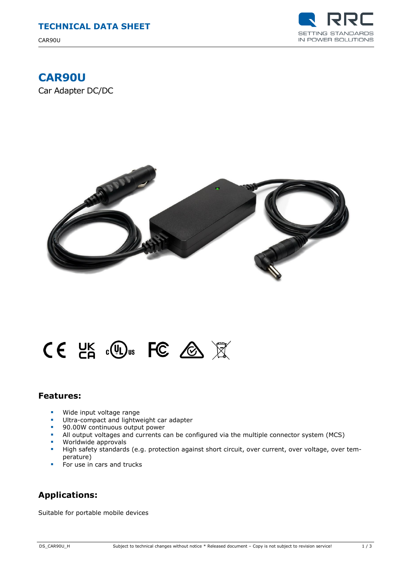CAR90U



# **CAR90U**

Car Adapter DC/DC



# $CE$  LK  $c$  C  $\circledast$  RC  $\otimes$   $\mathbb{R}$

## **Features:**

- **Wide input voltage range**<br>**EXECUTE:** Illtra-compact and lightwine
- Ultra-compact and lightweight car adapter
- **90.00W continuous output power**
- All output voltages and currents can be configured via the multiple connector system (MCS)
- **Worldwide approvals**<br>**High safety standards**
- High safety standards (e.g. protection against short circuit, over current, over voltage, over temperature)
- $\blacksquare$  For use in cars and trucks

# **Applications:**

Suitable for portable mobile devices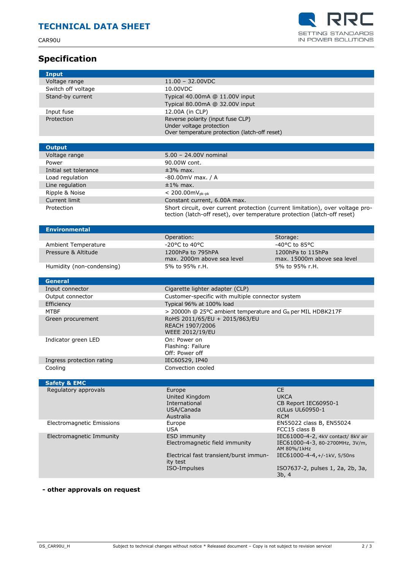CAR90U





| Input                      |                                                                                |                                                  |
|----------------------------|--------------------------------------------------------------------------------|--------------------------------------------------|
| Voltage range              | $11.00 - 32.00$ VDC                                                            |                                                  |
| Switch off voltage         | 10.00VDC                                                                       |                                                  |
| Stand-by current           | Typical 40.00mA @ 11.00V input                                                 |                                                  |
|                            | Typical 80.00mA @ 32.00V input                                                 |                                                  |
|                            |                                                                                |                                                  |
| Input fuse                 | 12.00A (in CLP)                                                                |                                                  |
| Protection                 | Reverse polarity (input fuse CLP)                                              |                                                  |
|                            | Under voltage protection                                                       |                                                  |
|                            | Over temperature protection (latch-off reset)                                  |                                                  |
|                            |                                                                                |                                                  |
| <b>Output</b>              |                                                                                |                                                  |
| Voltage range              | $5.00 - 24.00V$ nominal                                                        |                                                  |
| Power                      | 90.00W cont.                                                                   |                                                  |
| Initial set tolerance      | $±3%$ max.                                                                     |                                                  |
| Load regulation            | -80.00mV max. / A                                                              |                                                  |
| Line regulation            | $±1\%$ max.                                                                    |                                                  |
| Ripple & Noise             | $< 200.00$ m $V_{pk-pk}$                                                       |                                                  |
| Current limit              | Constant current, 6.00A max.                                                   |                                                  |
| Protection                 | Short circuit, over current protection (current limitation), over voltage pro- |                                                  |
|                            | tection (latch-off reset), over temperature protection (latch-off reset)       |                                                  |
|                            |                                                                                |                                                  |
| <b>Environmental</b>       |                                                                                |                                                  |
|                            | Operation:                                                                     | Storage:                                         |
| <b>Ambient Temperature</b> | -20°C to 40°C                                                                  | -40 $^{\circ}$ C to 85 $^{\circ}$ C              |
|                            | 1200hPa to 795hPA                                                              |                                                  |
| Pressure & Altitude        | max. 2000m above sea level                                                     | 1200hPa to 115hPa<br>max. 15000m above sea level |
|                            | 5% to 95% r.H.                                                                 |                                                  |
| Humidity (non-condensing)  |                                                                                | 5% to 95% r.H.                                   |
|                            |                                                                                |                                                  |
|                            |                                                                                |                                                  |
| <b>General</b>             |                                                                                |                                                  |
| Input connector            | Cigarette lighter adapter (CLP)                                                |                                                  |
| Output connector           | Customer-specific with multiple connector system                               |                                                  |
| Efficiency                 | Typical 96% at 100% load                                                       |                                                  |
| <b>MTBF</b>                | > 20000h @ 25°C ambient temperature and GB per MIL HDBK217F                    |                                                  |
| Green procurement          | RoHS 2011/65/EU + 2015/863/EU                                                  |                                                  |
|                            | REACH 1907/2006                                                                |                                                  |
|                            | <b>WEEE 2012/19/EU</b>                                                         |                                                  |
| Indicator green LED        | On: Power on                                                                   |                                                  |
|                            | Flashing: Failure                                                              |                                                  |
|                            | Off: Power off                                                                 |                                                  |
| Ingress protection rating  | IEC60529, IP40                                                                 |                                                  |
| Cooling                    | Convection cooled                                                              |                                                  |
|                            |                                                                                |                                                  |
| <b>Safety &amp; EMC</b>    |                                                                                |                                                  |
| Regulatory approvals       | Europe                                                                         | <b>CE</b>                                        |
|                            | United Kingdom                                                                 | <b>UKCA</b>                                      |
|                            | International                                                                  | CB Report IEC60950-1                             |
|                            | USA/Canada                                                                     | cULus UL60950-1                                  |
|                            | Australia                                                                      | <b>RCM</b>                                       |
| Electromagnetic Emissions  | Europe                                                                         | EN55022 class B, EN55024                         |
|                            | <b>USA</b>                                                                     | FCC15 class B                                    |
| Electromagnetic Immunity   | <b>ESD immunity</b>                                                            | IEC61000-4-2, 4kV contact/ 8kV air               |
|                            | Electromagnetic field immunity                                                 | IEC61000-4-3, 80-2700MHz, 3V/m,<br>AM 80%/1kHz   |
|                            | Electrical fast transient/burst immun-                                         | IEC61000-4-4, +/-1kV, 5/50ns                     |
|                            | ity test                                                                       |                                                  |
|                            | ISO-Impulses                                                                   | ISO7637-2, pulses 1, 2a, 2b, 3a,<br>3b, 4        |

## **- other approvals on request**